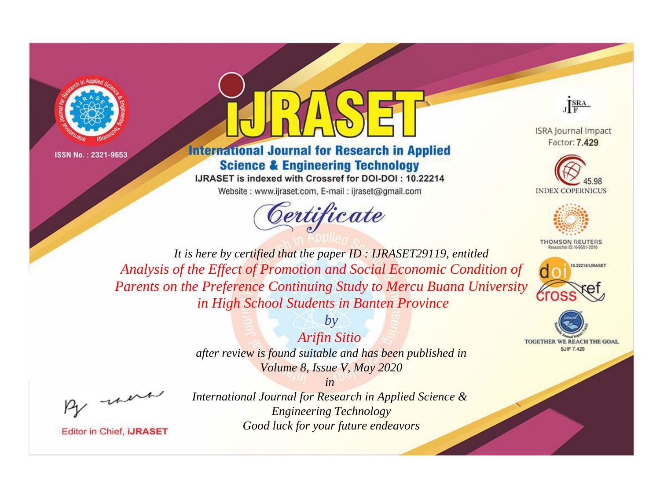



## **International Journal for Research in Applied Science & Engineering Technology**

IJRASET is indexed with Crossref for DOI-DOI: 10.22214 Website: www.ijraset.com, E-mail: ijraset@gmail.com



JERA

**ISRA Journal Impact** Factor: 7,429





**THOMSON REUTERS** 



TOGETHER WE REACH THE GOAL **SJIF 7.429** 

*It is here by certified that the paper ID : IJRASET29119, entitled Analysis of the Effect of Promotion and Social Economic Condition of Parents on the Preference Continuing Study to Mercu Buana University in High School Students in Banten Province*

*Arifin Sitio* 

*by*

*after review is found suitable and has been published in Volume 8, Issue V, May 2020*

*in* 

, un

**Editor in Chief, IJRASET**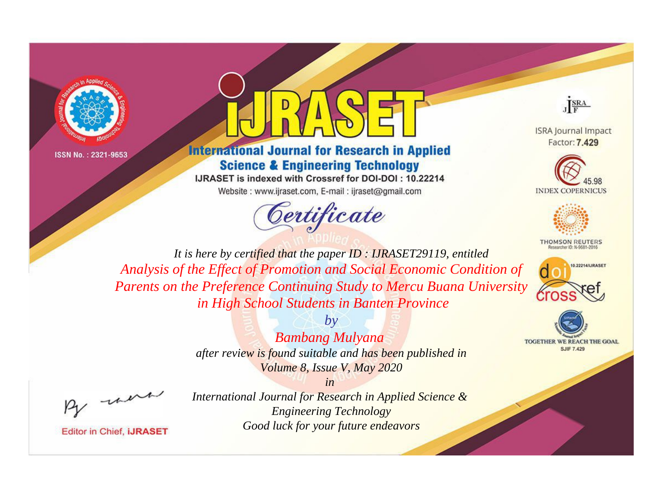



## **International Journal for Research in Applied Science & Engineering Technology**

IJRASET is indexed with Crossref for DOI-DOI: 10.22214 Website: www.ijraset.com, E-mail: ijraset@gmail.com



JF<sub>F</sub>

**ISRA Journal Impact** Factor: 7,429





**THOMSON REUTERS** 



**TOGETHER WE REACH THE GOAL SJIF 7.429** 

*It is here by certified that the paper ID : IJRASET29119, entitled Analysis of the Effect of Promotion and Social Economic Condition of Parents on the Preference Continuing Study to Mercu Buana University in High School Students in Banten Province*

> *Bambang Mulyana after review is found suitable and has been published in*

*by*

*Volume 8, Issue V, May 2020*

*in* 

, un

**Editor in Chief, IJRASET**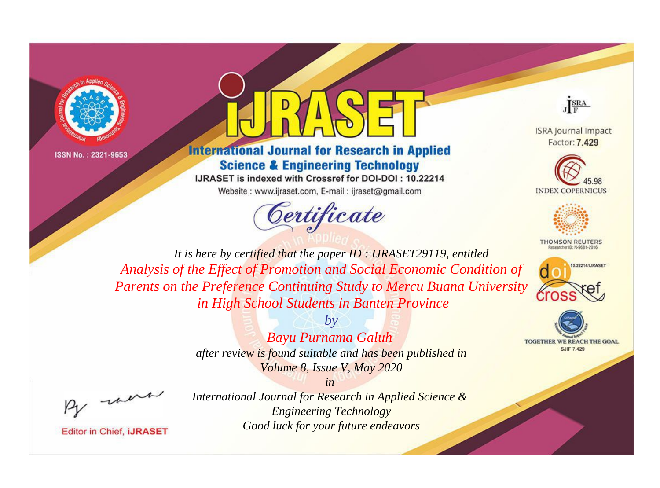



## **International Journal for Research in Applied Science & Engineering Technology**

IJRASET is indexed with Crossref for DOI-DOI: 10.22214 Website: www.ijraset.com, E-mail: ijraset@gmail.com



JF<sub>F</sub>

**ISRA Journal Impact** Factor: 7,429





**THOMSON REUTERS** 



**TOGETHER WE REACH THE GOAL SJIF 7.429** 

*It is here by certified that the paper ID : IJRASET29119, entitled Analysis of the Effect of Promotion and Social Economic Condition of Parents on the Preference Continuing Study to Mercu Buana University in High School Students in Banten Province*



*Bayu Purnama Galuh after review is found suitable and has been published in Volume 8, Issue V, May 2020*

*in* 

, un

**Editor in Chief, IJRASET**